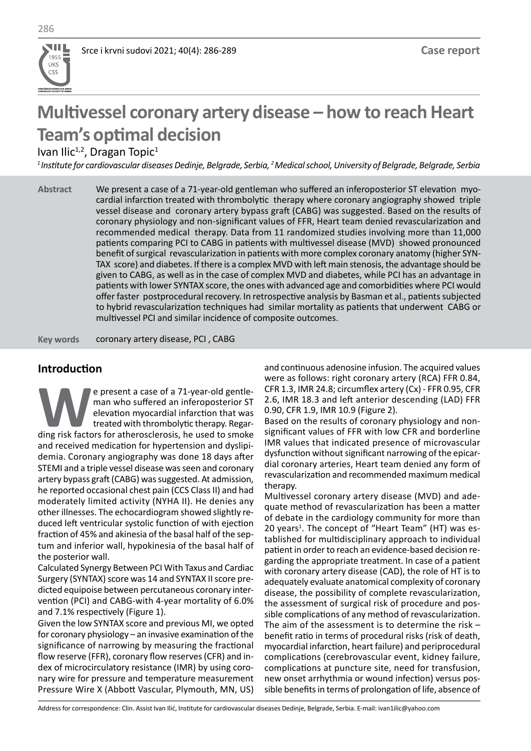

# **Multivessel coronary artery disease – how to reach Heart Team's optimal decision**

Ivan Ilic<sup>1,2</sup>, Dragan Topic<sup>1</sup>

*<sup>1</sup>Institute for cardiovascular diseases Dedinje, Belgrade, Serbia, <sup>2</sup>Medical school, University of Belgrade, Belgrade, Serbia*

We present a case of a 71-year-old gentleman who suffered an inferoposterior ST elevation myocardial infarction treated with thrombolytic therapy where coronary angiography showed triple vessel disease and coronary artery bypass graft (CABG) was suggested. Based on the results of coronary physiology and non-significant values of FFR, Heart team denied revascularization and recommended medical therapy. Data from 11 randomized studies involving more than 11,000 patients comparing PCI to CABG in patients with multivessel disease (MVD) showed pronounced benefit of surgical revascularization in patients with more complex coronary anatomy (higher SYN-TAX score) and diabetes. If there is a complex MVD with left main stenosis, the advantage should be given to CABG, as well as in the case of complex MVD and diabetes, while PCI has an advantage in patients with lower SYNTAX score, the ones with advanced age and comorbidities where PCI would offer faster postprocedural recovery. In retrospective analysis by Basman et al., patients subjected to hybrid revascularization techniques had similar mortality as patients that underwent CABG or multivessel PCI and similar incidence of composite outcomes. **Abstract**

coronary artery disease, PCI , CABG **Key words**

## **Introduction**

**WE are the case of a 71-year-old gentle-**<br>
man who suffered an inferoposterior ST<br>
elevation myocardial infarction that was<br>
treated with thrombolytic therapy. Regar-<br>
ding risk factors for atherosclerosis, he used to smo man who suffered an inferoposterior ST elevation myocardial infarction that was treated with thrombolytic therapy. Regarand received medication for hypertension and dyslipidemia. Coronary angiography was done 18 days after STEMI and a triple vessel disease was seen and coronary artery bypass graft (CABG) was suggested. At admission, he reported occasional chest pain (CCS Class II) and had moderately limited activity (NYHA II). He denies any other illnesses. The echocardiogram showed slightly reduced left ventricular systolic function of with ejection fraction of 45% and akinesia of the basal half of the septum and inferior wall, hypokinesia of the basal half of the posterior wall.

Calculated Synergy Between PCI With Taxus and Cardiac Surgery (SYNTAX) score was 14 and SYNTAX II score predicted equipoise between percutaneous coronary intervention (PCI) and CABG-with 4-year mortality of 6.0% and 7.1% respectively (Figure 1).

Given the low SYNTAX score and previous MI, we opted for coronary physiology – an invasive examination of the significance of narrowing by measuring the fractional flow reserve (FFR), coronary flow reserves (CFR) and index of microcirculatory resistance (IMR) by using coronary wire for pressure and temperature measurement Pressure Wire X (Abbott Vascular, Plymouth, MN, US) and continuous adenosine infusion. The acquired values were as follows: right coronary artery (RCA) FFR 0.84, CFR 1.3, IMR 24.8; circumflex artery (Cx) - FFR 0.95, CFR 2.6, IMR 18.3 and left anterior descending (LAD) FFR 0.90, CFR 1.9, IMR 10.9 (Figure 2).

Based on the results of coronary physiology and nonsignificant values of FFR with low CFR and borderline IMR values that indicated presence of microvascular dysfunction without significant narrowing of the epicardial coronary arteries, Heart team denied any form of revascularization and recommended maximum medical therapy.

Multivessel coronary artery disease (MVD) and adequate method of revascularization has been a matter of debate in the cardiology community for more than 20 years<sup>1</sup>. The concept of "Heart Team" (HT) was established for multidisciplinary approach to individual patient in order to reach an evidence-based decision regarding the appropriate treatment. In case of a patient with coronary artery disease (CAD), the role of HT is to adequately evaluate anatomical complexity of coronary disease, the possibility of complete revascularization, the assessment of surgical risk of procedure and possible complications of any method of revascularization. The aim of the assessment is to determine the risk – benefit ratio in terms of procedural risks (risk of death, myocardial infarction, heart failure) and periprocedural complications (cerebrovascular event, kidney failure, complications at puncture site, need for transfusion, new onset arrhythmia or wound infection) versus possible benefits in terms of prolongation of life, absence of

Address for correspondence: Clin. Assist Ivan Ilić, Institute for cardiovascular diseases Dedinje, Belgrade, Serbia. E-mail: ivan1ilic@yahoo.com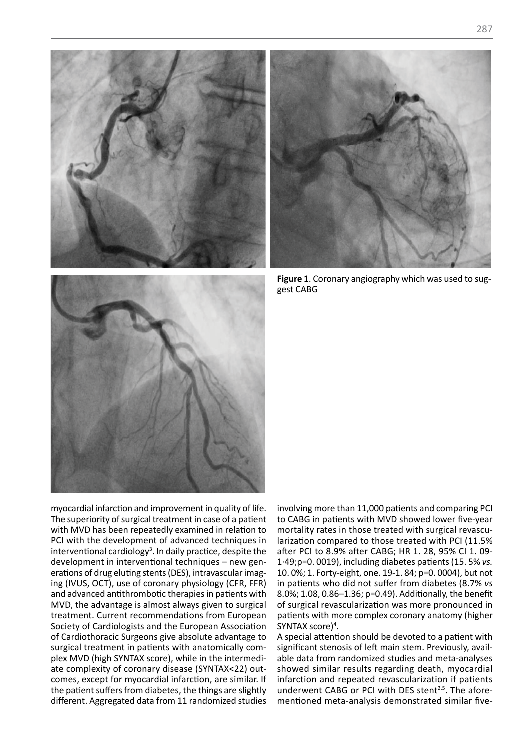



**Figure 1**. Coronary angiography which was used to suggest CABG



myocardial infarction and improvement in quality of life. The superiority of surgical treatment in case of a patient with MVD has been repeatedly examined in relation to PCI with the development of advanced techniques in interventional cardiology<sup>3</sup>. In daily practice, despite the development in interventional techniques – new generations of drug eluting stents (DES), intravascular imaging (IVUS, OCT), use of coronary physiology (CFR, FFR) and advanced antithrombotic therapies in patients with MVD, the advantage is almost always given to surgical treatment. Current recommendations from European Society of Cardiologists and the European Association of Cardiothoracic Surgeons give absolute advantage to of Cardiothoracic Surgeons give absolute advantage to<br>surgical treatment in patients with anatomically complex MVD (high SYNTAX score), while in the intermediate complexity of coronary disease (SYNTAX<22) outcomes, except for myocardial infarction, are similar. If<br>the patient suffers from dishates, the things are slightly the patient suffers from diabetes, the things are slightly different. Aggregated data from 11 randomized studies **FCI** with

involving more than 11,000 patients and comparing PCI to CABG in patients with MVD showed lower five-year mortality rates in those treated with surgical revascularization compared to those treated with PCI (11.5% after PCI to 8.9% after CABG; HR 1. 28, 95% CI 1. 09- 1·49;p=0. 0019), including diabetes patients (15. 5% *vs.* 10. 0%; 1. Forty-eight, one. 19-1. 84; p=0. 0004), but not in patients who did not suffer from diabetes (8.7% *vs*  8.0%; 1.08, 0.86–1.36; p=0.49). Additionally, the benefit of surgical revascularization was more pronounced in patients with more complex coronary anatomy (higher SYNTAX score)<sup>4</sup>.

A special attention should be devoted to a patient with significant stenosis of left main stem. Previously, available data from randomized studies and meta-analyses showed similar results regarding death, myocardial infarction and repeated revascularization if patients underwent CABG or PCI with DES stent<sup>2,5</sup>. The aforementioned meta-analysis demonstrated similar five-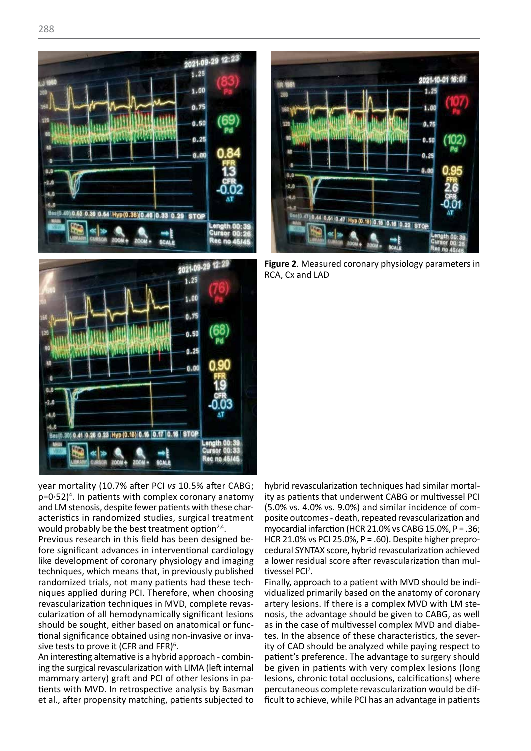







**Figure 2**. Measured coronary physiology parameters in RCA, Cx and LAD

year mortality (10.7% after PCI *vs* 10.5% after CABG; hybrid revascularization techniques had similar mortal $p=0.52$ <sup>4</sup>. In patients with complex coronary anatomy and LM stenosis, despite fewer patients with these characteristics in randomized studies, surgical treatment would probably be the best treatment option $2,4$ . **Figure 2. Acteristics in randomized standing a**<br>Would probably be the best t

Previous research in this field has been designed before significant advances in interventional cardiology like development of coronary physiology and imaging the development of coronary physiology and imaging a lower residual score arter revascularization than mul-<br>techniques, which means that, in previously published tivessel PCI<sup>7</sup>. randomized trials, not many patients had these techniques applied during PCI. Therefore, when choosing revascularization techniques in MVD, complete revasrevascularization techniques in MVD, complete revas- artery lesions. It there is a complex MVD with LM ste-<br>cularization of all hemodynamically significant lesions nosis, the advantage should be given to CABG, as well should be sought, either based on anatomical or funcshould be sought, either based on anatomical or func- as ir<br>tional significance obtained using non-invasive or inva- tes. sive tests to prove it (CFR and FFR) $6$ .

An interesting alternative is a hybrid approach - combining the surgical revascularization with LIMA (left internal ing the surgical revascularization with LIMA (left internal be<br>mammary artery) graft and PCI of other lesions in pa- les tients with MVD. In retrospective analysis by Basman percutaneous complete revascularization would be difet al., after propensity matching, patients subjected to

hybrid revascularization techniques had similar mortality as patients that underwent CABG or multivessel PCI (5.0% vs. 4.0% vs. 9.0%) and similar incidence of comacteristics in randomized studies, surgical treatment posite outcomes - death, repeated revascularization and recording to the revascularization and myocardial infarction (HCR 21.0% vs CABG 15.0%, P = .36; HCR 21.0% vs PCI 25.0%, P = .60). Despite higher preprocedural SYNTAX score, hybrid revascularization achieved a lower residual score after revascularization than multivessel PCI<sup>7</sup>.

Finally, approach to a patient with MVD should be individualized primarily based on the anatomy of coronary artery lesions. If there is a complex MVD with LM stenosis, the advantage should be given to CABG, as well as in the case of multivessel complex MVD and diabetes. In the absence of these characteristics, the seversive tests to prove it (CFR and FFR)<sup>6</sup>. ity of CAD should be analyzed while paying respect to the concept of the concept of the concept of the concept of the concept of the concept of the solution of the solution of the s patient's preference. The advantage to surgery should be given in patients with very complex lesions (long lesions, chronic total occlusions, calcifications) where percutaneous complete revascularization would be difficult to achieve, while PCI has an advantage in patients